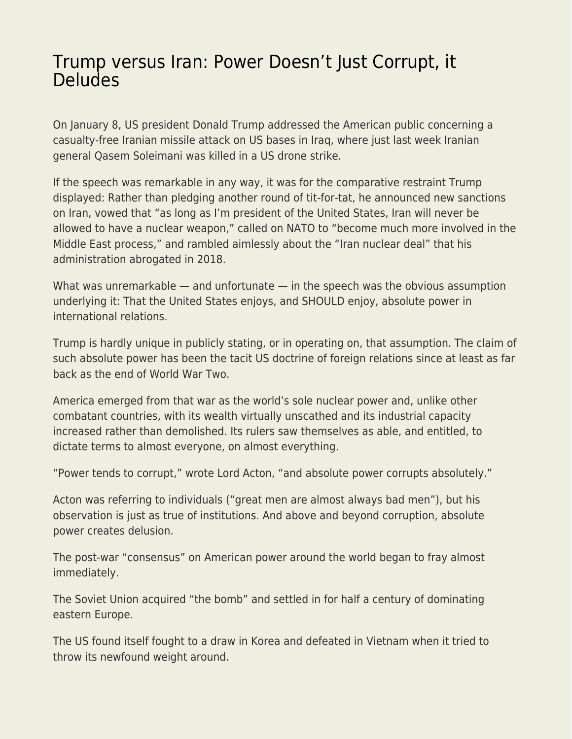## [Trump versus Iran: Power Doesn't Just Corrupt, it](https://everything-voluntary.com/trump-versus-iran-power-doesnt-just-corrupt-it-deludes) [Deludes](https://everything-voluntary.com/trump-versus-iran-power-doesnt-just-corrupt-it-deludes)

On January 8, US president Donald Trump addressed the American public concerning a casualty-free Iranian missile attack on US bases in Iraq, where just last week Iranian general Qasem Soleimani was killed in a US drone strike.

If the speech was remarkable in any way, it was for the comparative restraint Trump displayed: Rather than pledging another round of tit-for-tat, he announced new sanctions on Iran, vowed that "as long as I'm president of the United States, Iran will never be allowed to have a nuclear weapon," called on NATO to "become much more involved in the Middle East process," and rambled aimlessly about the "Iran nuclear deal" that his administration abrogated in 2018.

What was unremarkable — and unfortunate — in the speech was the obvious assumption underlying it: That the United States enjoys, and SHOULD enjoy, absolute power in international relations.

Trump is hardly unique in publicly stating, or in operating on, that assumption. The claim of such absolute power has been the tacit US doctrine of foreign relations since at least as far back as the end of World War Two.

America emerged from that war as the world's sole nuclear power and, unlike other combatant countries, with its wealth virtually unscathed and its industrial capacity increased rather than demolished. Its rulers saw themselves as able, and entitled, to dictate terms to almost everyone, on almost everything.

"Power tends to corrupt," wrote Lord Acton, "and absolute power corrupts absolutely."

Acton was referring to individuals ("great men are almost always bad men"), but his observation is just as true of institutions. And above and beyond corruption, absolute power creates delusion.

The post-war "consensus" on American power around the world began to fray almost immediately.

The Soviet Union acquired "the bomb" and settled in for half a century of dominating eastern Europe.

The US found itself fought to a draw in Korea and defeated in Vietnam when it tried to throw its newfound weight around.